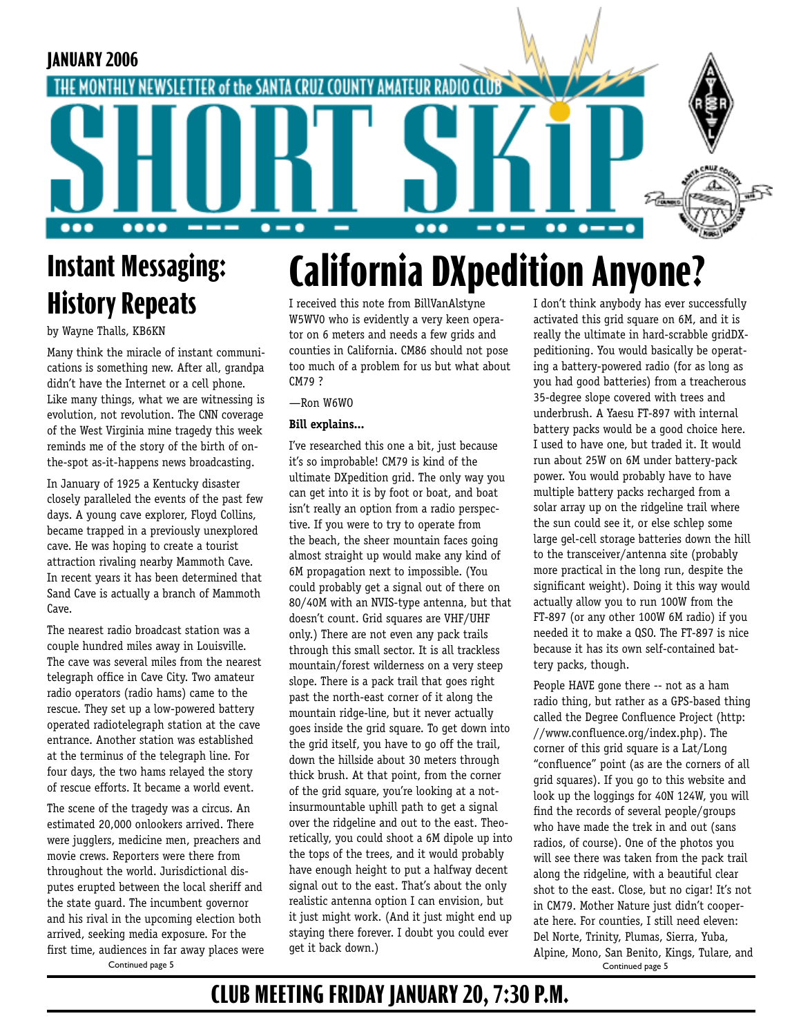

## **Instant Messaging: History Repeats**

#### by Wayne Thalls, KB6KN

Many think the miracle of instant communications is something new. After all, grandpa didn't have the Internet or a cell phone. Like many things, what we are witnessing is evolution, not revolution. The CNN coverage of the West Virginia mine tragedy this week reminds me of the story of the birth of onthe-spot as-it-happens news broadcasting.

In January of 1925 a Kentucky disaster closely paralleled the events of the past few days. A young cave explorer, Floyd Collins, became trapped in a previously unexplored cave. He was hoping to create a tourist attraction rivaling nearby Mammoth Cave. In recent years it has been determined that Sand Cave is actually a branch of Mammoth Cave.

The nearest radio broadcast station was a couple hundred miles away in Louisville. The cave was several miles from the nearest telegraph office in Cave City. Two amateur radio operators (radio hams) came to the rescue. They set up a low-powered battery operated radiotelegraph station at the cave entrance. Another station was established at the terminus of the telegraph line. For four days, the two hams relayed the story of rescue efforts. It became a world event.

Continued page 5 Continued page 5 The scene of the tragedy was a circus. An estimated 20,000 onlookers arrived. There were jugglers, medicine men, preachers and movie crews. Reporters were there from throughout the world. Jurisdictional disputes erupted between the local sheriff and the state guard. The incumbent governor and his rival in the upcoming election both arrived, seeking media exposure. For the first time, audiences in far away places were

# **California DXpedition Anyone?**

I received this note from BillVanAlstyne W5WV0 who is evidently a very keen operator on 6 meters and needs a few grids and counties in California. CM86 should not pose too much of a problem for us but what about CM79 ?

—Ron W6WO

#### **Bill explains...**

I've researched this one a bit, just because it's so improbable! CM79 is kind of the ultimate DXpedition grid. The only way you can get into it is by foot or boat, and boat isn't really an option from a radio perspective. If you were to try to operate from the beach, the sheer mountain faces going almost straight up would make any kind of 6M propagation next to impossible. (You could probably get a signal out of there on 80/40M with an NVIS-type antenna, but that doesn't count. Grid squares are VHF/UHF only.) There are not even any pack trails through this small sector. It is all trackless mountain/forest wilderness on a very steep slope. There is a pack trail that goes right past the north-east corner of it along the mountain ridge-line, but it never actually goes inside the grid square. To get down into the grid itself, you have to go off the trail, down the hillside about 30 meters through thick brush. At that point, from the corner of the grid square, you're looking at a notinsurmountable uphill path to get a signal over the ridgeline and out to the east. Theoretically, you could shoot a 6M dipole up into the tops of the trees, and it would probably have enough height to put a halfway decent signal out to the east. That's about the only realistic antenna option I can envision, but it just might work. (And it just might end up staying there forever. I doubt you could ever get it back down.)

I don't think anybody has ever successfully activated this grid square on 6M, and it is really the ultimate in hard-scrabble gridDXpeditioning. You would basically be operating a battery-powered radio (for as long as you had good batteries) from a treacherous 35-degree slope covered with trees and underbrush. A Yaesu FT-897 with internal battery packs would be a good choice here. I used to have one, but traded it. It would run about 25W on 6M under battery-pack power. You would probably have to have multiple battery packs recharged from a solar array up on the ridgeline trail where the sun could see it, or else schlep some large gel-cell storage batteries down the hill to the transceiver/antenna site (probably more practical in the long run, despite the significant weight). Doing it this way would actually allow you to run 100W from the FT-897 (or any other 100W 6M radio) if you needed it to make a QSO. The FT-897 is nice because it has its own self-contained battery packs, though.

People HAVE gone there -- not as a ham radio thing, but rather as a GPS-based thing called the Degree Confluence Project (http: //www.confluence.org/index.php). The corner of this grid square is a Lat/Long "confluence" point (as are the corners of all grid squares). If you go to this website and look up the loggings for 40N 124W, you will find the records of several people/groups who have made the trek in and out (sans radios, of course). One of the photos you will see there was taken from the pack trail along the ridgeline, with a beautiful clear shot to the east. Close, but no cigar! It's not in CM79. Mother Nature just didn't cooperate here. For counties, I still need eleven: Del Norte, Trinity, Plumas, Sierra, Yuba, Alpine, Mono, San Benito, Kings, Tulare, and

### **CLUB MEETING FRIDAY JANUARY 20, 7:30 P.M.**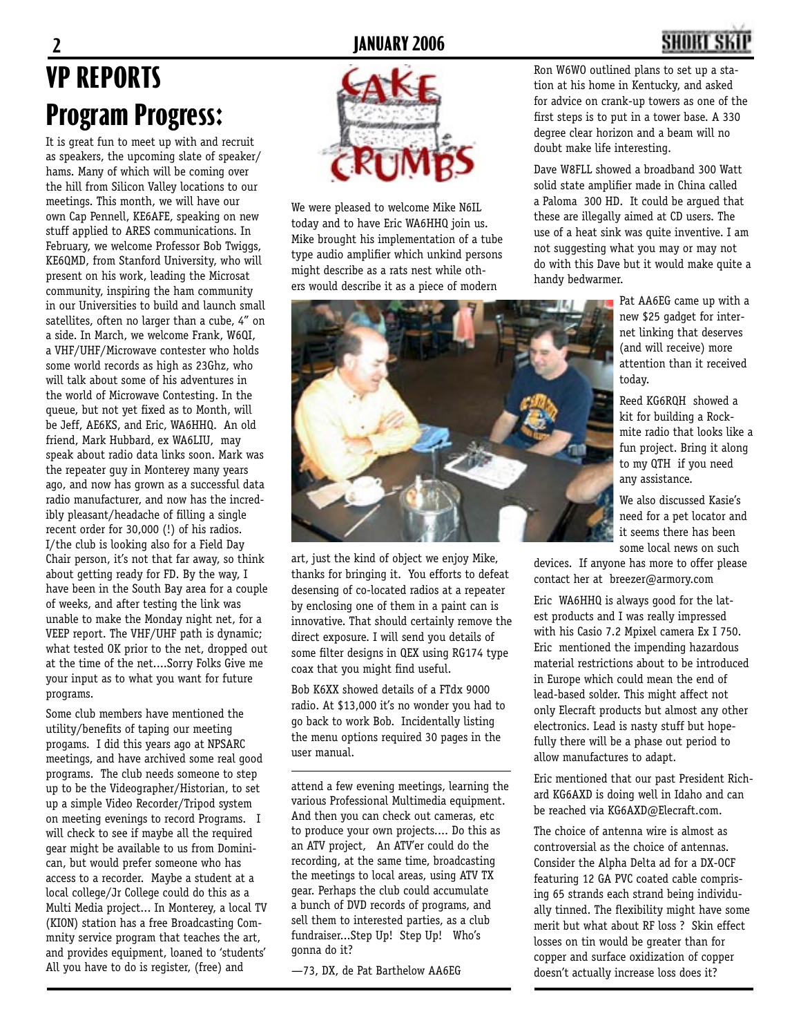## **2 JANUARY 2006 3 VP REPORTS Program Progress:**

It is great fun to meet up with and recruit as speakers, the upcoming slate of speaker/ hams. Many of which will be coming over the hill from Silicon Valley locations to our meetings. This month, we will have our own Cap Pennell, KE6AFE, speaking on new stuff applied to ARES communications. In February, we welcome Professor Bob Twiggs, KE6QMD, from Stanford University, who will present on his work, leading the Microsat community, inspiring the ham community in our Universities to build and launch small satellites, often no larger than a cube, 4" on a side. In March, we welcome Frank, W6QI, a VHF/UHF/Microwave contester who holds some world records as high as 23Ghz, who will talk about some of his adventures in the world of Microwave Contesting. In the queue, but not yet fixed as to Month, will be Jeff, AE6KS, and Eric, WA6HHQ. An old friend, Mark Hubbard, ex WA6LIU, may speak about radio data links soon. Mark was the repeater guy in Monterey many years ago, and now has grown as a successful data radio manufacturer, and now has the incredibly pleasant/headache of filling a single recent order for 30,000 (!) of his radios. I/the club is looking also for a Field Day Chair person, it's not that far away, so think about getting ready for FD. By the way, I have been in the South Bay area for a couple of weeks, and after testing the link was unable to make the Monday night net, for a VEEP report. The VHF/UHF path is dynamic; what tested OK prior to the net, dropped out at the time of the net....Sorry Folks Give me your input as to what you want for future programs.

Some club members have mentioned the utility/benefits of taping our meeting progams. I did this years ago at NPSARC meetings, and have archived some real good programs. The club needs someone to step up to be the Videographer/Historian, to set up a simple Video Recorder/Tripod system on meeting evenings to record Programs. I will check to see if maybe all the required gear might be available to us from Dominican, but would prefer someone who has access to a recorder. Maybe a student at a local college/Jr College could do this as a Multi Media project... In Monterey, a local TV (KION) station has a free Broadcasting Commnity service program that teaches the art, and provides equipment, loaned to 'students' All you have to do is register, (free) and



We were pleased to welcome Mike N6IL today and to have Eric WA6HHQ join us. Mike brought his implementation of a tube type audio amplifier which unkind persons might describe as a rats nest while others would describe it as a piece of modern

Ron W6WO outlined plans to set up a station at his home in Kentucky, and asked for advice on crank-up towers as one of the first steps is to put in a tower base. A 330 degree clear horizon and a beam will no doubt make life interesting.

Dave W8FLL showed a broadband 300 Watt solid state amplifier made in China called a Paloma 300 HD. It could be argued that these are illegally aimed at CD users. The use of a heat sink was quite inventive. I am not suggesting what you may or may not do with this Dave but it would make quite a handy bedwarmer.



art, just the kind of object we enjoy Mike, thanks for bringing it. You efforts to defeat desensing of co-located radios at a repeater by enclosing one of them in a paint can is innovative. That should certainly remove the direct exposure. I will send you details of some filter designs in QEX using RG174 type coax that you might find useful.

Bob K6XX showed details of a FTdx 9000 radio. At \$13,000 it's no wonder you had to go back to work Bob. Incidentally listing the menu options required 30 pages in the user manual.

attend a few evening meetings, learning the various Professional Multimedia equipment. And then you can check out cameras, etc to produce your own projects.... Do this as an ATV project, An ATV'er could do the recording, at the same time, broadcasting the meetings to local areas, using ATV TX gear. Perhaps the club could accumulate a bunch of DVD records of programs, and sell them to interested parties, as a club fundraiser...Step Up! Step Up! Who's gonna do it?

—73, DX, de Pat Barthelow AA6EG

Pat AA6EG came up with a new \$25 gadget for internet linking that deserves (and will receive) more attention than it received

Reed KG6RQH showed a kit for building a Rockmite radio that looks like a fun project. Bring it along to my QTH if you need any assistance.

We also discussed Kasie's need for a pet locator and it seems there has been some local news on such

devices. If anyone has more to offer please contact her at breezer@armory.com

Eric WA6HHQ is always good for the latest products and I was really impressed with his Casio 7.2 Mpixel camera Ex I 750. Eric mentioned the impending hazardous material restrictions about to be introduced in Europe which could mean the end of lead-based solder. This might affect not only Elecraft products but almost any other electronics. Lead is nasty stuff but hopefully there will be a phase out period to allow manufactures to adapt.

Eric mentioned that our past President Richard KG6AXD is doing well in Idaho and can be reached via KG6AXD@Elecraft.com.

The choice of antenna wire is almost as controversial as the choice of antennas. Consider the Alpha Delta ad for a DX-OCF featuring 12 GA PVC coated cable comprising 65 strands each strand being individually tinned. The flexibility might have some merit but what about RF loss ? Skin effect losses on tin would be greater than for copper and surface oxidization of copper doesn't actually increase loss does it?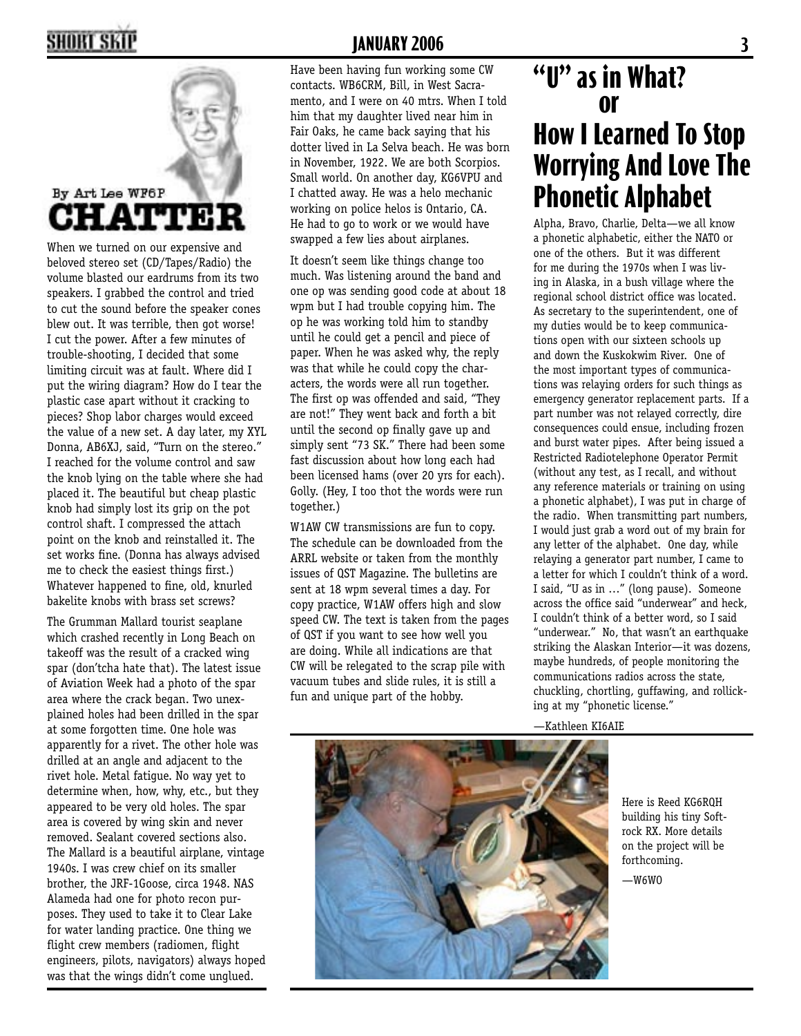## **2 JANUARY 2006 3**



When we turned on our expensive and beloved stereo set (CD/Tapes/Radio) the volume blasted our eardrums from its two speakers. I grabbed the control and tried to cut the sound before the speaker cones blew out. It was terrible, then got worse! I cut the power. After a few minutes of trouble-shooting, I decided that some limiting circuit was at fault. Where did I put the wiring diagram? How do I tear the plastic case apart without it cracking to pieces? Shop labor charges would exceed the value of a new set. A day later, my XYL Donna, AB6XJ, said, "Turn on the stereo." I reached for the volume control and saw the knob lying on the table where she had placed it. The beautiful but cheap plastic knob had simply lost its grip on the pot control shaft. I compressed the attach point on the knob and reinstalled it. The set works fine. (Donna has always advised me to check the easiest things first.) Whatever happened to fine, old, knurled bakelite knobs with brass set screws?

The Grumman Mallard tourist seaplane which crashed recently in Long Beach on takeoff was the result of a cracked wing spar (don'tcha hate that). The latest issue of Aviation Week had a photo of the spar area where the crack began. Two unexplained holes had been drilled in the spar at some forgotten time. One hole was apparently for a rivet. The other hole was drilled at an angle and adjacent to the rivet hole. Metal fatigue. No way yet to determine when, how, why, etc., but they appeared to be very old holes. The spar area is covered by wing skin and never removed. Sealant covered sections also. The Mallard is a beautiful airplane, vintage 1940s. I was crew chief on its smaller brother, the JRF-1Goose, circa 1948. NAS Alameda had one for photo recon purposes. They used to take it to Clear Lake for water landing practice. One thing we flight crew members (radiomen, flight engineers, pilots, navigators) always hoped was that the wings didn't come unglued.

Have been having fun working some CW contacts. WB6CRM, Bill, in West Sacramento, and I were on 40 mtrs. When I told him that my daughter lived near him in Fair Oaks, he came back saying that his dotter lived in La Selva beach. He was born in November, 1922. We are both Scorpios. Small world. On another day, KG6VPU and I chatted away. He was a helo mechanic working on police helos is Ontario, CA. He had to go to work or we would have swapped a few lies about airplanes.

It doesn't seem like things change too much. Was listening around the band and one op was sending good code at about 18 wpm but I had trouble copying him. The op he was working told him to standby until he could get a pencil and piece of paper. When he was asked why, the reply was that while he could copy the characters, the words were all run together. The first op was offended and said, "They are not!" They went back and forth a bit until the second op finally gave up and simply sent "73 SK." There had been some fast discussion about how long each had been licensed hams (over 20 yrs for each). Golly. (Hey, I too thot the words were run together.)

W1AW CW transmissions are fun to copy. The schedule can be downloaded from the ARRL website or taken from the monthly issues of QST Magazine. The bulletins are sent at 18 wpm several times a day. For copy practice, W1AW offers high and slow speed CW. The text is taken from the pages of QST if you want to see how well you are doing. While all indications are that CW will be relegated to the scrap pile with vacuum tubes and slide rules, it is still a fun and unique part of the hobby.

## **"U" as in What? or How I Learned To Stop Worrying And Love The Phonetic Alphabet**

Alpha, Bravo, Charlie, Delta—we all know a phonetic alphabetic, either the NATO or one of the others. But it was different for me during the 1970s when I was living in Alaska, in a bush village where the regional school district office was located. As secretary to the superintendent, one of my duties would be to keep communications open with our sixteen schools up and down the Kuskokwim River. One of the most important types of communications was relaying orders for such things as emergency generator replacement parts. If a part number was not relayed correctly, dire consequences could ensue, including frozen and burst water pipes. After being issued a Restricted Radiotelephone Operator Permit (without any test, as I recall, and without any reference materials or training on using a phonetic alphabet), I was put in charge of the radio. When transmitting part numbers, I would just grab a word out of my brain for any letter of the alphabet. One day, while relaying a generator part number, I came to a letter for which I couldn't think of a word. I said, "U as in …" (long pause). Someone across the office said "underwear" and heck, I couldn't think of a better word, so I said "underwear." No, that wasn't an earthquake striking the Alaskan Interior—it was dozens, maybe hundreds, of people monitoring the communications radios across the state, chuckling, chortling, guffawing, and rollicking at my "phonetic license."

—Kathleen KI6AIE



Here is Reed KG6RQH building his tiny Softrock RX. More details on the project will be forthcoming.  $-W6WD$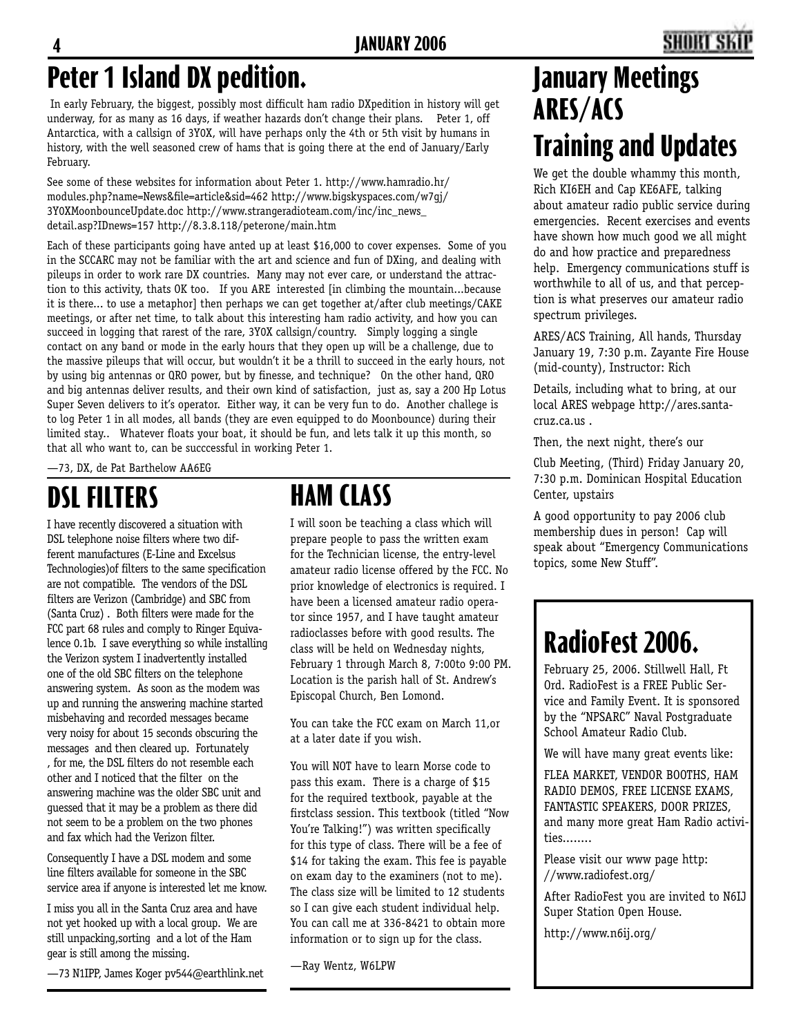# **Peter 1 Island DX pedition.**

 In early February, the biggest, possibly most difficult ham radio DXpedition in history will get underway, for as many as 16 days, if weather hazards don't change their plans. Peter 1, off Antarctica, with a callsign of 3Y0X, will have perhaps only the 4th or 5th visit by humans in history, with the well seasoned crew of hams that is going there at the end of January/Early February.

See some of these websites for information about Peter 1. http://www.hamradio.hr/ modules.php?name=News&file=article&sid=462 http://www.bigskyspaces.com/w7gj/ 3Y0XMoonbounceUpdate.doc http://www.strangeradioteam.com/inc/inc\_news\_ detail.asp?IDnews=157 http://8.3.8.118/peterone/main.htm

Each of these participants going have anted up at least \$16,000 to cover expenses. Some of you in the SCCARC may not be familiar with the art and science and fun of DXing, and dealing with pileups in order to work rare DX countries. Many may not ever care, or understand the attraction to this activity, thats OK too. If you ARE interested [in climbing the mountain...because it is there... to use a metaphor] then perhaps we can get together at/after club meetings/CAKE meetings, or after net time, to talk about this interesting ham radio activity, and how you can succeed in logging that rarest of the rare, 3Y0X callsign/country. Simply logging a single contact on any band or mode in the early hours that they open up will be a challenge, due to the massive pileups that will occur, but wouldn't it be a thrill to succeed in the early hours, not by using big antennas or QRO power, but by finesse, and technique? On the other hand, QRO and big antennas deliver results, and their own kind of satisfaction, just as, say a 200 Hp Lotus Super Seven delivers to it's operator. Either way, it can be very fun to do. Another challege is to log Peter 1 in all modes, all bands (they are even equipped to do Moonbounce) during their limited stay.. Whatever floats your boat, it should be fun, and lets talk it up this month, so that all who want to, can be succcessful in working Peter 1.

—73, DX, de Pat Barthelow AA6EG

## **DSL FILTERS**

I have recently discovered a situation with DSL telephone noise filters where two different manufactures (E-Line and Excelsus Technologies)of filters to the same specification are not compatible. The vendors of the DSL filters are Verizon (Cambridge) and SBC from (Santa Cruz) . Both filters were made for the FCC part 68 rules and comply to Ringer Equivalence 0.1b. I save everything so while installing the Verizon system I inadvertently installed one of the old SBC filters on the telephone answering system. As soon as the modem was up and running the answering machine started misbehaving and recorded messages became very noisy for about 15 seconds obscuring the messages and then cleared up. Fortunately , for me, the DSL filters do not resemble each other and I noticed that the filter on the answering machine was the older SBC unit and guessed that it may be a problem as there did not seem to be a problem on the two phones and fax which had the Verizon filter.

Consequently I have a DSL modem and some line filters available for someone in the SBC service area if anyone is interested let me know.

I miss you all in the Santa Cruz area and have not yet hooked up with a local group. We are still unpacking,sorting and a lot of the Ham gear is still among the missing.

—73 N1IPP, James Koger pv544@earthlink.net

## **HAM CLASS**

I will soon be teaching a class which will prepare people to pass the written exam for the Technician license, the entry-level amateur radio license offered by the FCC. No prior knowledge of electronics is required. I have been a licensed amateur radio operator since 1957, and I have taught amateur radioclasses before with good results. The class will be held on Wednesday nights, February 1 through March 8, 7:00to 9:00 PM. Location is the parish hall of St. Andrew's Episcopal Church, Ben Lomond.

You can take the FCC exam on March 11,or at a later date if you wish.

You will NOT have to learn Morse code to pass this exam. There is a charge of \$15 for the required textbook, payable at the firstclass session. This textbook (titled "Now You're Talking!") was written specifically for this type of class. There will be a fee of \$14 for taking the exam. This fee is payable on exam day to the examiners (not to me). The class size will be limited to 12 students so I can give each student individual help. You can call me at 336-8421 to obtain more information or to sign up for the class.

—Ray Wentz, W6LPW

## **January Meetings ARES/ACS Training and Updates**

We get the double whammy this month, Rich KI6EH and Cap KE6AFE, talking about amateur radio public service during emergencies. Recent exercises and events have shown how much good we all might do and how practice and preparedness help. Emergency communications stuff is worthwhile to all of us, and that perception is what preserves our amateur radio spectrum privileges.

ARES/ACS Training, All hands, Thursday January 19, 7:30 p.m. Zayante Fire House (mid-county), Instructor: Rich

Details, including what to bring, at our local ARES webpage http://ares.santacruz.ca.us .

Then, the next night, there's our

Club Meeting, (Third) Friday January 20, 7:30 p.m. Dominican Hospital Education Center, upstairs

A good opportunity to pay 2006 club membership dues in person! Cap will speak about "Emergency Communications topics, some New Stuff".

# **RadioFest 2006.**

February 25, 2006. Stillwell Hall, Ft Ord. RadioFest is a FREE Public Service and Family Event. It is sponsored by the "NPSARC" Naval Postgraduate School Amateur Radio Club.

We will have many great events like:

FLEA MARKET, VENDOR BOOTHS, HAM RADIO DEMOS, FREE LICENSE EXAMS, FANTASTIC SPEAKERS, DOOR PRIZES, and many more great Ham Radio activities........

Please visit our www page http: //www.radiofest.org/

After RadioFest you are invited to N6IJ Super Station Open House.

http://www.n6ij.org/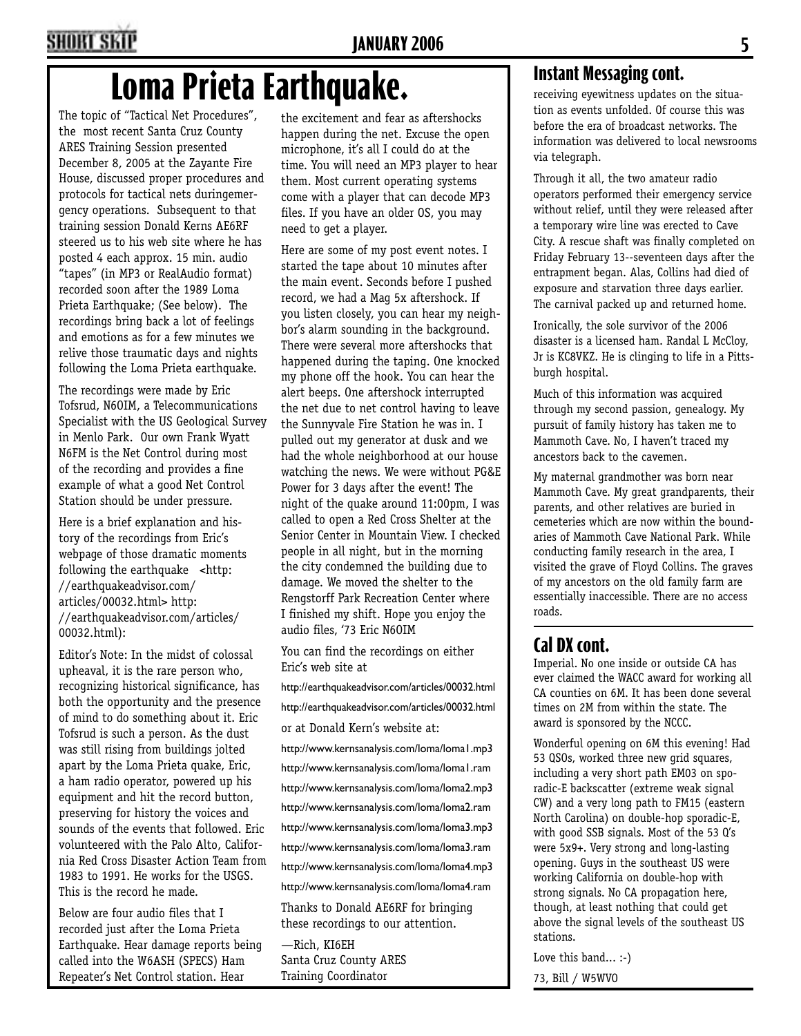#### **<u>1000 SHURT SKIP</u>** 5 **JANUARY 2006**

# **Loma Prieta Earthquake.**

The topic of "Tactical Net Procedures", the most recent Santa Cruz County ARES Training Session presented December 8, 2005 at the Zayante Fire House, discussed proper procedures and protocols for tactical nets duringemergency operations. Subsequent to that training session Donald Kerns AE6RF steered us to his web site where he has posted 4 each approx. 15 min. audio "tapes" (in MP3 or RealAudio format) recorded soon after the 1989 Loma Prieta Earthquake; (See below). The recordings bring back a lot of feelings and emotions as for a few minutes we relive those traumatic days and nights following the Loma Prieta earthquake.

The recordings were made by Eric Tofsrud, N6OIM, a Telecommunications Specialist with the US Geological Survey in Menlo Park. Our own Frank Wyatt N6FM is the Net Control during most of the recording and provides a fine example of what a good Net Control Station should be under pressure.

Here is a brief explanation and history of the recordings from Eric's webpage of those dramatic moments following the earthquake <http: //earthquakeadvisor.com/ articles/00032.html> http: //earthquakeadvisor.com/articles/ 00032.html):

Editor's Note: In the midst of colossal upheaval, it is the rare person who, recognizing historical significance, has both the opportunity and the presence of mind to do something about it. Eric Tofsrud is such a person. As the dust was still rising from buildings jolted apart by the Loma Prieta quake, Eric, a ham radio operator, powered up his equipment and hit the record button, preserving for history the voices and sounds of the events that followed. Eric volunteered with the Palo Alto, California Red Cross Disaster Action Team from 1983 to 1991. He works for the USGS. This is the record he made.

Below are four audio files that I recorded just after the Loma Prieta Earthquake. Hear damage reports being called into the W6ASH (SPECS) Ham Repeater's Net Control station. Hear

the excitement and fear as aftershocks happen during the net. Excuse the open microphone, it's all I could do at the time. You will need an MP3 player to hear them. Most current operating systems come with a player that can decode MP3 files. If you have an older OS, you may need to get a player.

Here are some of my post event notes. I started the tape about 10 minutes after the main event. Seconds before I pushed record, we had a Mag 5x aftershock. If you listen closely, you can hear my neighbor's alarm sounding in the background. There were several more aftershocks that happened during the taping. One knocked my phone off the hook. You can hear the alert beeps. One aftershock interrupted the net due to net control having to leave the Sunnyvale Fire Station he was in. I pulled out my generator at dusk and we had the whole neighborhood at our house watching the news. We were without PG&E Power for 3 days after the event! The night of the quake around 11:00pm, I was called to open a Red Cross Shelter at the Senior Center in Mountain View. I checked people in all night, but in the morning the city condemned the building due to damage. We moved the shelter to the Rengstorff Park Recreation Center where I finished my shift. Hope you enjoy the audio files, '73 Eric N6OIM

You can find the recordings on either Eric's web site at

http://earthquakeadvisor.com/articles/00032.html http://earthquakeadvisor.com/articles/00032.html or at Donald Kern's website at: http://www.kernsanalysis.com/loma/loma1.mp3 http://www.kernsanalysis.com/loma/loma1.ram

http://www.kernsanalysis.com/loma/loma2.mp3 http://www.kernsanalysis.com/loma/loma2.ram http://www.kernsanalysis.com/loma/loma3.mp3 http://www.kernsanalysis.com/loma/loma3.ram http://www.kernsanalysis.com/loma/loma4.mp3 http://www.kernsanalysis.com/loma/loma4.ram Thanks to Donald AE6RF for bringing these recordings to our attention. —Rich, KI6EH

Santa Cruz County ARES Training Coordinator

#### **Instant Messaging cont.**

receiving eyewitness updates on the situation as events unfolded. Of course this was before the era of broadcast networks. The information was delivered to local newsrooms via telegraph.

Through it all, the two amateur radio operators performed their emergency service without relief, until they were released after a temporary wire line was erected to Cave City. A rescue shaft was finally completed on Friday February 13--seventeen days after the entrapment began. Alas, Collins had died of exposure and starvation three days earlier. The carnival packed up and returned home.

Ironically, the sole survivor of the 2006 disaster is a licensed ham. Randal L McCloy, Jr is KC8VKZ. He is clinging to life in a Pittsburgh hospital.

Much of this information was acquired through my second passion, genealogy. My pursuit of family history has taken me to Mammoth Cave. No, I haven't traced my ancestors back to the cavemen.

My maternal grandmother was born near Mammoth Cave. My great grandparents, their parents, and other relatives are buried in cemeteries which are now within the boundaries of Mammoth Cave National Park. While conducting family research in the area, I visited the grave of Floyd Collins. The graves of my ancestors on the old family farm are essentially inaccessible. There are no access roads.

#### **Cal DX cont.**

Imperial. No one inside or outside CA has ever claimed the WACC award for working all CA counties on 6M. It has been done several times on 2M from within the state. The award is sponsored by the NCCC.

Wonderful opening on 6M this evening! Had 53 QSOs, worked three new grid squares, including a very short path EM03 on sporadic-E backscatter (extreme weak signal CW) and a very long path to FM15 (eastern North Carolina) on double-hop sporadic-E, with good SSB signals. Most of the 53 Q's were 5x9+. Very strong and long-lasting opening. Guys in the southeast US were working California on double-hop with strong signals. No CA propagation here, though, at least nothing that could get above the signal levels of the southeast US stations.

Love this band... :-) 73, Bill / W5WVO